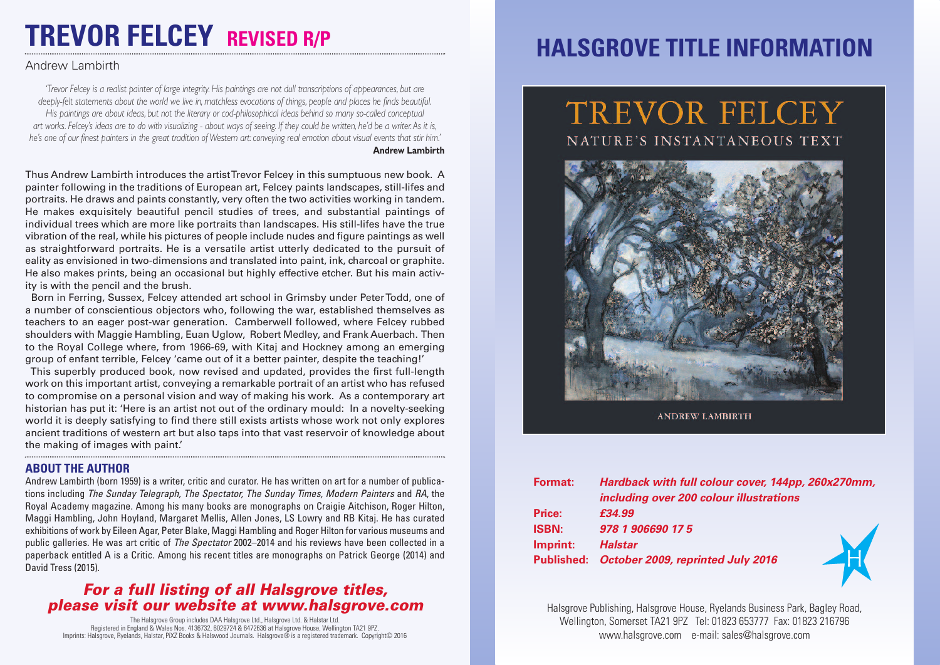# **TREVOR FELCEY REVISED R/P**

### Andrew Lambirth

'Trevor Felcev is a realist painter of large integrity. His paintings are not dull transcriptions of appearances, but are deeply-felt statements about the world we live in, matchless evocations of things, people and places he finds beautiful. His paintings are about ideas, but not the literary or cod-philosophical ideas behind so many so-called conceptual art works. Felcey's ideas are to do with visualizing - about ways of seeing. If they could be written, he'd be a writer. As it is, he's one of our finest painters in the great tradition of Western art: conveying real emotion about visual events that stir him.' **Andrew Lambirth**

Thus Andrew Lambirth introduces the artistTrevor Felcey in this sumptuous new book. A painter following in the traditions of European art, Felcey paints landscapes, still-lifes and portraits. He draws and paints constantly, very often the two activities working in tandem. He makes exquisitely beautiful pencil studies of trees, and substantial paintings of individual trees which are more like portraits than landscapes. His still-lifes have the true vibration of the real, while his pictures of people include nudes and figure paintings as well as straightforward portraits. He is a versatile artist utterly dedicated to the pursuit of eality as envisioned in two-dimensions and translated into paint, ink, charcoal or graphite. He also makes prints, being an occasional but highly effective etcher. But his main activity is with the pencil and the brush.

Born in Ferring, Sussex, Felcey attended art school in Grimsby under PeterTodd, one of a number of conscientious objectors who, following the war, established themselves as teachers to an eager post-war generation. Camberwell followed, where Felcey rubbed shoulders with Maggie Hambling, Euan Uglow, Robert Medley, and Frank Auerbach. Then to the Royal College where, from 1966-69, with Kitaj and Hockney among an emerging group of enfant terrible, Felcey 'came out of it a better painter, despite the teaching!'

This superbly produced book, now revised and updated, provides the first full-length work on this important artist, conveying a remarkable portrait of an artist who has refused to compromise on a personal vision and way of making his work. As a contemporary art historian has put it: 'Here is an artist not out of the ordinary mould: In a novelty-seeking world it is deeply satisfying to find there still exists artists whose work not only explores ancient traditions of western art but also taps into that vast reservoir of knowledge about the making of images with paint.'

#### **ABOUT THE AUTHOR**

Andrew Lambirth (born 1959) is a writer, critic and curator. He has written on art for a number of publications including *The Sunday Telegraph, The Spectator, The Sunday Times, Modern Painters* and *RA*, the Royal Academy magazine. Among his many books are monographs on Craigie Aitchison, Roger Hilton, Maggi Hambling, John Hoyland, Margaret Mellis, Allen Jones, LS Lowry and RB Kitaj. He has curated exhibitions of work by Eileen Agar, Peter Blake, Maggi Hambling and Roger Hilton for various museums and public galleries. He was art critic of *The Spectator* 2002–2014 and his reviews have been collected in a paperback entitled A is a Critic. Among his recent titles are monographs on Patrick George (2014) and David Tress (2015).

### *For a full listing of all Halsgrove titles, please visit our website at www.halsgrove.com*

The Halsgrove Group includes DAA Halsgrove Ltd., Halsgrove Ltd. & Halstar Ltd. Registered in England & Wales Nos. 4136732, 6029724 & 6472636 at Halsgrove House, Wellington TA21 9PZ. Imprints: Halsgrove, Ryelands, Halstar, PiXZ Books & Halswood Journals. Halsgrove® is a registered trademark. Copyright© 2016

## **HALSGROVE TITLE INFORMATION**

## TREVOR FELCEY NATURE'S INSTANTANEOUS TEXT



**ANDREW LAMBIRTH** 

| <b>Format:</b> | Hardback with full colour cover, 144pp, 260x270mm, |
|----------------|----------------------------------------------------|
|                | including over 200 colour illustrations            |
| Price:         | £34.99                                             |
| <b>ISBN:</b>   | 978 1 906690 17 5                                  |
| Imprint:       | <b>Halstar</b>                                     |
|                | Published: October 2009, reprinted July 2016       |



Halsgrove Publishing, Halsgrove House, Ryelands Business Park, Bagley Road, Wellington, Somerset TA21 9PZ Tel: 01823 653777 Fax: 01823 216796 www.halsgrove.com e-mail: sales@halsgrove.com